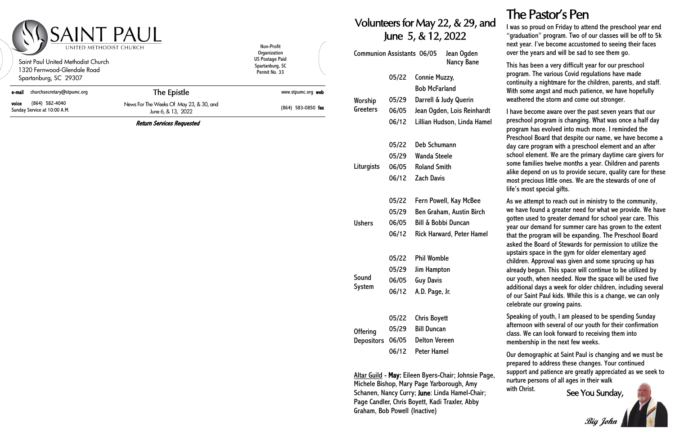## The Pastor's Pen

#### Volunteers for May 22, & 29, and June 5, & 12, 2022

| <b>Communion Assistants 06/05</b> |       |                                | Jean Ogden<br>Nancy Bane        |
|-----------------------------------|-------|--------------------------------|---------------------------------|
|                                   | 05/22 | Connie Muzzy,                  |                                 |
|                                   |       | <b>Bob McFarland</b>           |                                 |
| Worship<br>Greeters               | 05/29 | Darrell & Judy Querin          |                                 |
|                                   | 06/05 |                                | Jean Ogden, Lois Reinhardt      |
|                                   | 06/12 |                                | Lillian Hudson, Linda Hamel     |
|                                   | 05/22 | Deb Schumann                   |                                 |
| Liturgists                        | 05/29 | <b>Wanda Steele</b>            |                                 |
|                                   | 06/05 | <b>Roland Smith</b>            |                                 |
|                                   | 06/12 | <b>Zach Davis</b>              |                                 |
|                                   | 05/22 |                                | Fern Powell, Kay McBee          |
|                                   | 05/29 |                                | <b>Ben Graham, Austin Birch</b> |
| <b>Ushers</b>                     | 06/05 | <b>Bill &amp; Bobbi Duncan</b> |                                 |
|                                   | 06/12 |                                | Rick Harward, Peter Hamel       |
|                                   |       |                                |                                 |
|                                   | 05/22 | <b>Phil Womble</b>             |                                 |
| Sound                             | 05/29 | <b>Jim Hampton</b>             |                                 |
| System                            | 06/05 | <b>Guy Davis</b>               |                                 |
|                                   | 06/12 | A.D. Page, Jr.                 |                                 |
|                                   | 05/22 | <b>Chris Boyett</b>            |                                 |
| <b>Offering</b>                   | 05/29 | <b>Bill Duncan</b>             |                                 |
| <b>Depositors</b>                 | 06/05 | <b>Delton Vereen</b>           |                                 |
|                                   | 06/12 | Peter Hamel                    |                                 |

Altar Guild - May: Eileen Byers-Chair; Johnsie Page, Michele Bishop, Mary Page Yarborough, Amy Schanen, Nancy Curry; June: Linda Hamel-Chair; Page Candler, Chris Boyett, Kadi Traxler, Abby Graham, Bob Powell (Inactive)

| <b>Saint Paul United Methodist Church</b><br>1320 Fernwood-Glendale Road<br>Spartanburg, SC 29307 |                                                               | Organization<br><b>US Postage Paid</b><br>Spartanburg, SC<br>Permit No. 33 |
|---------------------------------------------------------------------------------------------------|---------------------------------------------------------------|----------------------------------------------------------------------------|
| churchsecretary@stpumc.org<br>e-mail                                                              | The Epistle                                                   | www.stpumc.org web                                                         |
| (864) 582-4040<br>voice<br>Sunday Service at 10:00 A.M.                                           | News For The Weeks Of May 23, & 30, and<br>June 6, & 13, 2022 | (864) 583-0850 fax                                                         |

I was so proud on Friday to attend the preschool year end "graduation" program. Two of our classes will be off to 5k next year. I've become accustomed to seeing their faces over the years and will be sad to see them go.

This has been a very difficult year for our preschool program. The various Covid regulations have made continuity a nightmare for the children, parents, and staff. With some angst and much patience, we have hopefully weathered the storm and come out stronger.

with Christ. See You Sunday, **Big John**

I have become aware over the past seven years that our preschool program is changing. What was once a half day program has evolved into much more. I reminded the Preschool Board that despite our name, we have become a day care program with a preschool element and an after school element. We are the primary daytime care givers for some families twelve months a year. Children and parents alike depend on us to provide secure, quality care for these most precious little ones. We are the stewards of one of life's most special gifts.

As we attempt to reach out in ministry to the community, we have found a greater need for what we provide. We have gotten used to greater demand for school year care. This year our demand for summer care has grown to the extent that the program will be expanding. The Preschool Board asked the Board of Stewards for permission to utilize the upstairs space in the gym for older elementary aged children. Approval was given and some sprucing up has already begun. This space will continue to be utilized by our youth, when needed. Now the space will be used five additional days a week for older children, including several of our Saint Paul kids. While this is a change, we can only celebrate our growing pains.

Speaking of youth, I am pleased to be spending Sunday afternoon with several of our youth for their confirmation class. We can look forward to receiving them into membership in the next few weeks.

Our demographic at Saint Paul is changing and we must be prepared to address these changes. Your continued support and patience are greatly appreciated as we seek to nurture persons of all ages in their walk